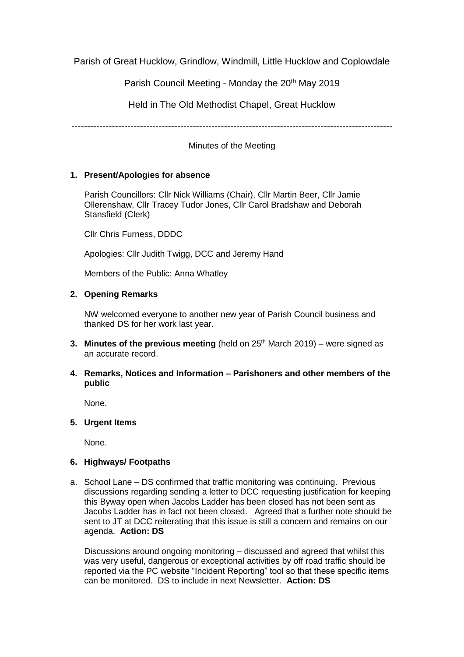Parish of Great Hucklow, Grindlow, Windmill, Little Hucklow and Coplowdale

Parish Council Meeting - Monday the 20<sup>th</sup> May 2019

Held in The Old Methodist Chapel, Great Hucklow

-------------------------------------------------------------------------------------------------------

Minutes of the Meeting

# **1. Present/Apologies for absence**

Parish Councillors: Cllr Nick Williams (Chair), Cllr Martin Beer, Cllr Jamie Ollerenshaw, Cllr Tracey Tudor Jones, Cllr Carol Bradshaw and Deborah Stansfield (Clerk)

Cllr Chris Furness, DDDC

Apologies: Cllr Judith Twigg, DCC and Jeremy Hand

Members of the Public: Anna Whatley

# **2. Opening Remarks**

NW welcomed everyone to another new year of Parish Council business and thanked DS for her work last year.

- **3. Minutes of the previous meeting** (held on 25<sup>th</sup> March 2019) were signed as an accurate record.
- **4. Remarks, Notices and Information – Parishoners and other members of the public**

None.

**5. Urgent Items**

None.

## **6. Highways/ Footpaths**

a. School Lane – DS confirmed that traffic monitoring was continuing. Previous discussions regarding sending a letter to DCC requesting justification for keeping this Byway open when Jacobs Ladder has been closed has not been sent as Jacobs Ladder has in fact not been closed. Agreed that a further note should be sent to JT at DCC reiterating that this issue is still a concern and remains on our agenda. **Action: DS**

Discussions around ongoing monitoring – discussed and agreed that whilst this was very useful, dangerous or exceptional activities by off road traffic should be reported via the PC website "Incident Reporting" tool so that these specific items can be monitored. DS to include in next Newsletter. **Action: DS**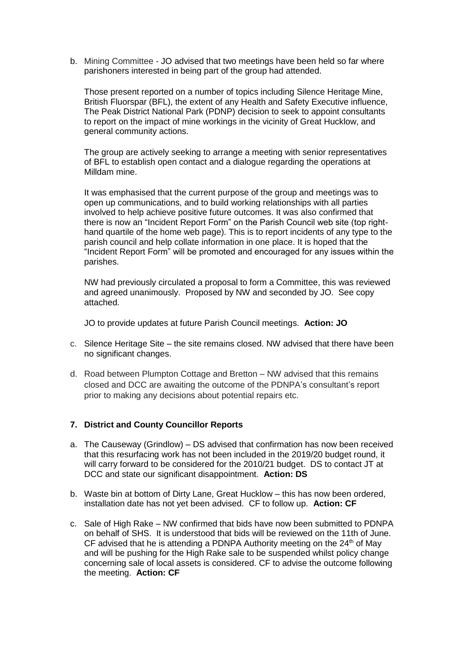b. Mining Committee - JO advised that two meetings have been held so far where parishoners interested in being part of the group had attended.

Those present reported on a number of topics including Silence Heritage Mine, British Fluorspar (BFL), the extent of any Health and Safety Executive influence, The Peak District National Park (PDNP) decision to seek to appoint consultants to report on the impact of mine workings in the vicinity of Great Hucklow, and general community actions.

The group are actively seeking to arrange a meeting with senior representatives of BFL to establish open contact and a dialogue regarding the operations at Milldam mine.

It was emphasised that the current purpose of the group and meetings was to open up communications, and to build working relationships with all parties involved to help achieve positive future outcomes. It was also confirmed that there is now an "Incident Report Form" on the Parish Council web site (top righthand quartile of the home web page). This is to report incidents of any type to the parish council and help collate information in one place. It is hoped that the "Incident Report Form" will be promoted and encouraged for any issues within the parishes.

NW had previously circulated a proposal to form a Committee, this was reviewed and agreed unanimously. Proposed by NW and seconded by JO. See copy attached.

JO to provide updates at future Parish Council meetings. **Action: JO**

- c. Silence Heritage Site the site remains closed. NW advised that there have been no significant changes.
- d. Road between Plumpton Cottage and Bretton NW advised that this remains closed and DCC are awaiting the outcome of the PDNPA's consultant's report prior to making any decisions about potential repairs etc.

## **7. District and County Councillor Reports**

- a. The Causeway (Grindlow) DS advised that confirmation has now been received that this resurfacing work has not been included in the 2019/20 budget round, it will carry forward to be considered for the 2010/21 budget. DS to contact JT at DCC and state our significant disappointment. **Action: DS**
- b. Waste bin at bottom of Dirty Lane, Great Hucklow this has now been ordered, installation date has not yet been advised. CF to follow up. **Action: CF**
- c. Sale of High Rake NW confirmed that bids have now been submitted to PDNPA on behalf of SHS. It is understood that bids will be reviewed on the 11th of June. CF advised that he is attending a PDNPA Authority meeting on the  $24<sup>th</sup>$  of May and will be pushing for the High Rake sale to be suspended whilst policy change concerning sale of local assets is considered. CF to advise the outcome following the meeting. **Action: CF**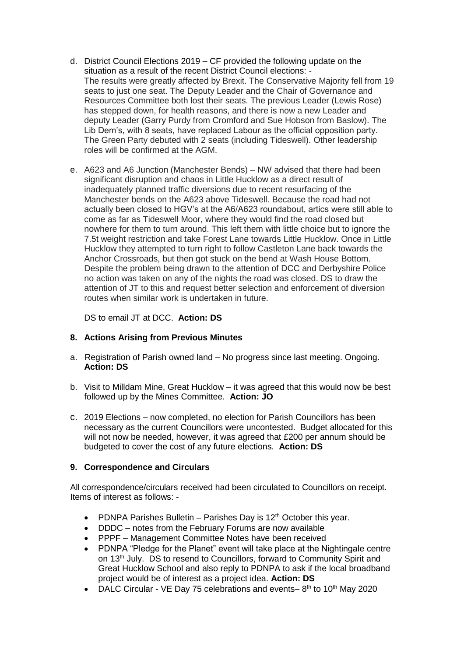- d. District Council Elections 2019 CF provided the following update on the situation as a result of the recent District Council elections: - The results were greatly affected by Brexit. The Conservative Majority fell from 19 seats to just one seat. The Deputy Leader and the Chair of Governance and Resources Committee both lost their seats. The previous Leader (Lewis Rose) has stepped down, for health reasons, and there is now a new Leader and deputy Leader (Garry Purdy from Cromford and Sue Hobson from Baslow). The Lib Dem's, with 8 seats, have replaced Labour as the official opposition party. The Green Party debuted with 2 seats (including Tideswell). Other leadership roles will be confirmed at the AGM.
- e. A623 and A6 Junction (Manchester Bends) NW advised that there had been significant disruption and chaos in Little Hucklow as a direct result of inadequately planned traffic diversions due to recent resurfacing of the Manchester bends on the A623 above Tideswell. Because the road had not actually been closed to HGV's at the A6/A623 roundabout, artics were still able to come as far as Tideswell Moor, where they would find the road closed but nowhere for them to turn around. This left them with little choice but to ignore the 7.5t weight restriction and take Forest Lane towards Little Hucklow. Once in Little Hucklow they attempted to turn right to follow Castleton Lane back towards the Anchor Crossroads, but then got stuck on the bend at Wash House Bottom. Despite the problem being drawn to the attention of DCC and Derbyshire Police no action was taken on any of the nights the road was closed. DS to draw the attention of JT to this and request better selection and enforcement of diversion routes when similar work is undertaken in future.

DS to email JT at DCC. **Action: DS** 

# **8. Actions Arising from Previous Minutes**

- a. Registration of Parish owned land No progress since last meeting. Ongoing. **Action: DS**
- b. Visit to Milldam Mine, Great Hucklow it was agreed that this would now be best followed up by the Mines Committee. **Action: JO**
- c. 2019 Elections now completed, no election for Parish Councillors has been necessary as the current Councillors were uncontested. Budget allocated for this will not now be needed, however, it was agreed that £200 per annum should be budgeted to cover the cost of any future elections. **Action: DS**

## **9. Correspondence and Circulars**

All correspondence/circulars received had been circulated to Councillors on receipt. Items of interest as follows: -

- PDNPA Parishes Bulletin Parishes Day is 12<sup>th</sup> October this year.
- DDDC notes from the February Forums are now available
- PPPF Management Committee Notes have been received
- PDNPA "Pledge for the Planet" event will take place at the Nightingale centre on 13<sup>th</sup> July. DS to resend to Councillors, forward to Community Spirit and Great Hucklow School and also reply to PDNPA to ask if the local broadband project would be of interest as a project idea. **Action: DS**
- DALC Circular VE Day 75 celebrations and events- $8<sup>th</sup>$  to 10<sup>th</sup> May 2020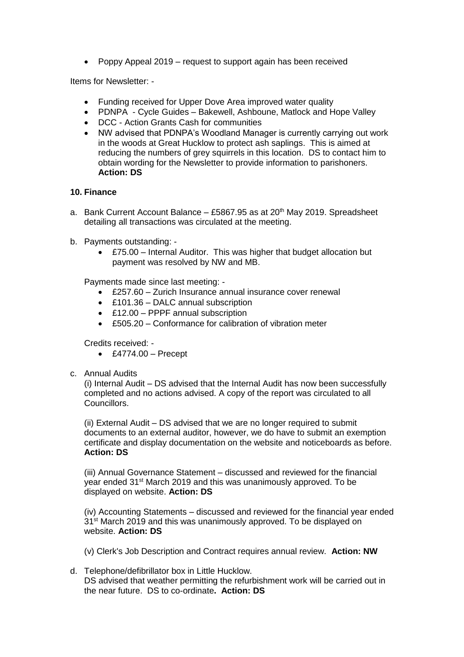• Poppy Appeal 2019 – request to support again has been received

Items for Newsletter: -

- Funding received for Upper Dove Area improved water quality
- PDNPA Cycle Guides Bakewell, Ashboune, Matlock and Hope Valley
- DCC Action Grants Cash for communities
- NW advised that PDNPA's Woodland Manager is currently carrying out work in the woods at Great Hucklow to protect ash saplings. This is aimed at reducing the numbers of grey squirrels in this location. DS to contact him to obtain wording for the Newsletter to provide information to parishoners. **Action: DS**

## **10. Finance**

- a. Bank Current Account Balance £5867.95 as at 20<sup>th</sup> May 2019. Spreadsheet detailing all transactions was circulated at the meeting.
- b. Payments outstanding:
	- £75.00 Internal Auditor. This was higher that budget allocation but payment was resolved by NW and MB.

Payments made since last meeting: -

- £257.60 Zurich Insurance annual insurance cover renewal
- £101.36 DALC annual subscription
- £12.00 PPPF annual subscription
- £505.20 Conformance for calibration of vibration meter

Credits received: -

- $\textdegree$  £4774.00 Precept
- c. Annual Audits

(i) Internal Audit – DS advised that the Internal Audit has now been successfully completed and no actions advised. A copy of the report was circulated to all Councillors.

(ii) External Audit – DS advised that we are no longer required to submit documents to an external auditor, however, we do have to submit an exemption certificate and display documentation on the website and noticeboards as before. **Action: DS**

(iii) Annual Governance Statement – discussed and reviewed for the financial year ended 31<sup>st</sup> March 2019 and this was unanimously approved. To be displayed on website. **Action: DS**

(iv) Accounting Statements – discussed and reviewed for the financial year ended 31<sup>st</sup> March 2019 and this was unanimously approved. To be displayed on website. **Action: DS**

(v) Clerk's Job Description and Contract requires annual review. **Action: NW**

d. Telephone/defibrillator box in Little Hucklow. DS advised that weather permitting the refurbishment work will be carried out in the near future. DS to co-ordinate**. Action: DS**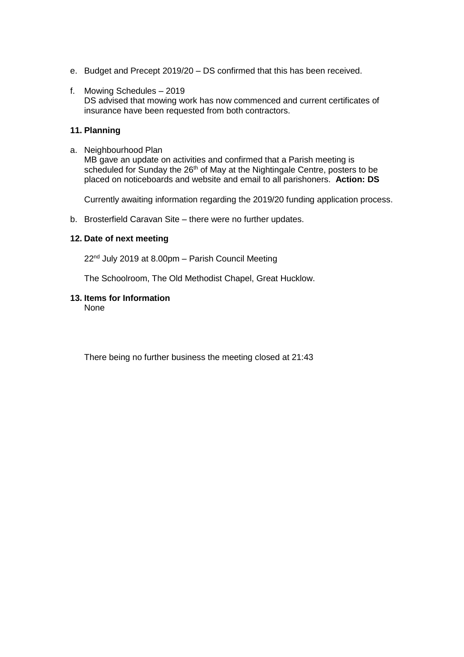- e. Budget and Precept 2019/20 DS confirmed that this has been received.
- f. Mowing Schedules 2019 DS advised that mowing work has now commenced and current certificates of insurance have been requested from both contractors.

#### **11. Planning**

a. Neighbourhood Plan MB gave an update on activities and confirmed that a Parish meeting is scheduled for Sunday the 26<sup>th</sup> of May at the Nightingale Centre, posters to be placed on noticeboards and website and email to all parishoners. **Action: DS** 

Currently awaiting information regarding the 2019/20 funding application process.

b. Brosterfield Caravan Site – there were no further updates.

#### **12. Date of next meeting**

22 nd July 2019 at 8.00pm – Parish Council Meeting

The Schoolroom, The Old Methodist Chapel, Great Hucklow.

#### **13. Items for Information**

None

There being no further business the meeting closed at 21:43